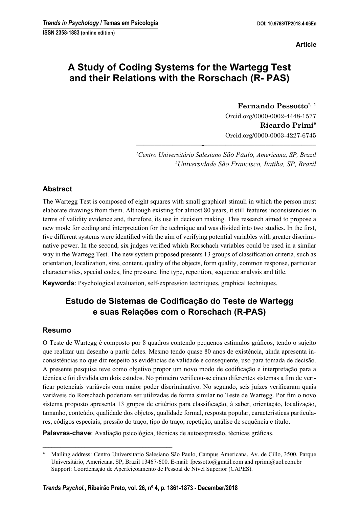**Article**

# **A Study of Coding Systems for the Wartegg Test and their Relations with the Rorschach (R- PAS)**

**Fernando Pessotto**\***, <sup>1</sup>** Orcid.org/0000-0002-4448-1577 **Ricardo Primi2** Orcid.org/0000-0003-4227-6745

*1 Centro Universitário Salesiano São Paulo, Americana, SP, Brazil 2 Universidade São Francisco, Itatiba, SP, Brazil*

**––––––––––––––––––-–––––––––––––––––––––––––––––––**

#### **Abstract**

The Wartegg Test is composed of eight squares with small graphical stimuli in which the person must elaborate drawings from them. Although existing for almost 80 years, it still features inconsistencies in terms of validity evidence and, therefore, its use in decision making. This research aimed to propose a new mode for coding and interpretation for the technique and was divided into two studies. In the first, five different systems were identified with the aim of verifying potential variables with greater discriminative power. In the second, six judges verified which Rorschach variables could be used in a similar way in the Wartegg Test. The new system proposed presents 13 groups of classification criteria, such as orientation, localization, size, content, quality of the objects, form quality, common response, particular characteristics, special codes, line pressure, line type, repetition, sequence analysis and title.

**Keywords**: Psychological evaluation, self-expression techniques, graphical techniques.

## **Estudo de Sistemas de Codificação do Teste de Wartegg e suas Relações com o Rorschach (R-PAS)**

#### **Resumo**

O Teste de Wartegg é composto por 8 quadros contendo pequenos estímulos gráficos, tendo o sujeito que realizar um desenho a partir deles. Mesmo tendo quase 80 anos de existência, ainda apresenta inconsistências no que diz respeito às evidências de validade e consequente, uso para tomada de decisão. A presente pesquisa teve como objetivo propor um novo modo de codificação e interpretação para a técnica e foi dividida em dois estudos. No primeiro verificou-se cinco diferentes sistemas a fim de verificar potenciais variáveis com maior poder discriminativo. No segundo, seis juízes verificaram quais variáveis do Rorschach poderiam ser utilizadas de forma similar no Teste de Wartegg. Por fim o novo sistema proposto apresenta 13 grupos de critérios para classificação, à saber, orientação, localização, tamanho, conteúdo, qualidade dos objetos, qualidade formal, resposta popular, características particulares, códigos especiais, pressão do traço, tipo do traço, repetição, análise de sequência e título.

**Palavras-chave**: Avaliação psicológica, técnicas de autoexpressão, técnicas gráficas.

–––––––––––––––––––––––––––––––––––––––––––

<sup>\*</sup> Mailing address: Centro Universitário Salesiano São Paulo, Campus Americana, Av. de Cillo, 3500, Parque Universitário, Americana, SP, Brazil 13467-600. E-mail: fpessotto@gmail.com and rprimi@uol.com.br Support: Coordenação de Aperfeiçoamento de Pessoal de Nível Superior (CAPES).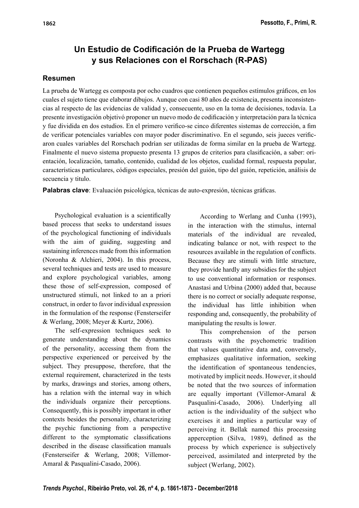# **Un Estudio de Codificación de la Prueba de Wartegg y sus Relaciones con el Rorschach (R-PAS)**

### **Resumen**

La prueba de Wartegg es composta por ocho cuadros que contienen pequeños estímulos gráficos, en los cuales el sujeto tiene que elaborar dibujos. Aunque con casi 80 años de existencia, presenta inconsistencias al respecto de las evidencias de validad y, consecuente, uso en la toma de decisiones, todavía. La presente investigación objetivó proponer un nuevo modo de codificación y interpretación para la técnica y fue dividida en dos estudios. En el primero verifico-se cinco diferentes sistemas de corrección, a fim de verificar potenciales variables con mayor poder discriminativo. En el segundo, seis jueces verificaron cuales variables del Rorschach podrían ser utilizadas de forma similar en la prueba de Wartegg. Finalmente el nuevo sistema propuesto presenta 13 grupos de criterios para clasificación, a saber: orientación, localización, tamaño, contenido, cualidad de los objetos, cualidad formal, respuesta popular, características particulares, códigos especiales, presión del guión, tipo del guión, repetición, análisis de secuencia y titulo.

**Palabras clave**: Evaluación psicológica, técnicas de auto-expresión, técnicas gráficas.

Psychological evaluation is a scientifically based process that seeks to understand issues of the psychological functioning of individuals with the aim of guiding, suggesting and sustaining inferences made from this information (Noronha & Alchieri, 2004). In this process, several techniques and tests are used to measure and explore psychological variables, among these those of self-expression, composed of unstructured stimuli, not linked to an a priori construct, in order to favor individual expression in the formulation of the response (Fensterseifer & Werlang, 2008; Meyer & Kurtz, 2006).

The self-expression techniques seek to generate understanding about the dynamics of the personality, accessing them from the perspective experienced or perceived by the subject. They presuppose, therefore, that the external requirement, characterized in the tests by marks, drawings and stories, among others, has a relation with the internal way in which the individuals organize their perceptions. Consequently, this is possibly important in other contexts besides the personality, characterizing the psychic functioning from a perspective different to the symptomatic classifications described in the disease classification manuals (Fensterseifer & Werlang, 2008; Villemor-Amaral & Pasqualini-Casado, 2006).

According to Werlang and Cunha (1993), in the interaction with the stimulus, internal materials of the individual are revealed, indicating balance or not, with respect to the resources available in the regulation of conflicts. Because they are stimuli with little structure, they provide hardly any subsidies for the subject to use conventional information or responses. Anastasi and Urbina (2000) added that, because there is no correct or socially adequate response, the individual has little inhibition when responding and, consequently, the probability of manipulating the results is lower.

This comprehension of the person contrasts with the psychometric tradition that values quantitative data and, conversely, emphasizes qualitative information, seeking the identification of spontaneous tendencies, motivated by implicit needs. However, it should be noted that the two sources of information are equally important (Villemor-Amaral & Pasqualini-Casado, 2006). Underlying all action is the individuality of the subject who exercises it and implies a particular way of perceiving it. Bellak named this processing apperception (Silva, 1989), defined as the process by which experience is subjectively perceived, assimilated and interpreted by the subject (Werlang, 2002).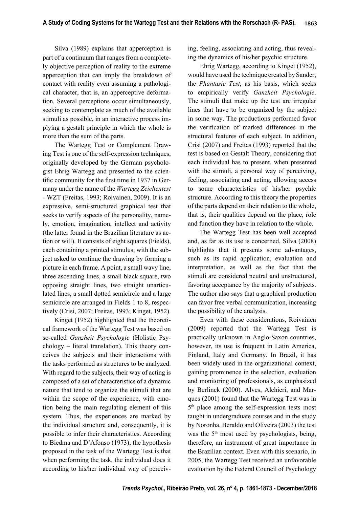Silva (1989) explains that apperception is part of a continuum that ranges from a completely objective perception of reality to the extreme apperception that can imply the breakdown of contact with reality even assuming a pathological character, that is, an apperceptive deformation. Several perceptions occur simultaneously, seeking to contemplate as much of the available stimuli as possible, in an interactive process implying a gestalt principle in which the whole is more than the sum of the parts.

The Wartegg Test or Complement Drawing Test is one of the self-expression techniques, originally developed by the German psychologist Ehrig Wartegg and presented to the scientific community for the first time in 1937 in Germany under the name of the *Wartegg Zeichentest* - WZT (Freitas, 1993; Roivainen, 2009). It is an expressive, semi-structured graphical test that seeks to verify aspects of the personality, namely, emotion, imagination, intellect and activity (the latter found in the Brazilian literature as action or will). It consists of eight squares (Fields), each containing a printed stimulus, with the subject asked to continue the drawing by forming a picture in each frame. A point, a small wavy line, three ascending lines, a small black square, two opposing straight lines, two straight unarticulated lines, a small dotted semicircle and a large semicircle are arranged in Fields 1 to 8, respectively (Crisi, 2007; Freitas, 1993; Kinget, 1952).

Kinget (1952) highlighted that the theoretical framework of the Wartegg Test was based on so-called *Ganzheit Psychologie* (Holistic Psychology – literal translation). This theory conceives the subjects and their interactions with the tasks performed as structures to be analyzed. With regard to the subjects, their way of acting is composed of a set of characteristics of a dynamic nature that tend to organize the stimuli that are within the scope of the experience, with emotion being the main regulating element of this system. Thus, the experiences are marked by the individual structure and, consequently, it is possible to infer their characteristics. According to Biedma and D'Afonso (1973), the hypothesis proposed in the task of the Wartegg Test is that when performing the task, the individual does it according to his/her individual way of perceiving, feeling, associating and acting, thus revealing the dynamics of his/her psychic structure.

Ehrig Wartegg, according to Kinget (1952), would have used the technique created by Sander, the *Phantasie Test*, as his basis, which seeks to empirically verify *Ganzheit Psychologie*. The stimuli that make up the test are irregular lines that have to be organized by the subject in some way. The productions performed favor the verification of marked differences in the structural features of each subject. In addition, Crisi (2007) and Freitas (1993) reported that the test is based on Gestalt Theory, considering that each individual has to present, when presented with the stimuli, a personal way of perceiving, feeling, associating and acting, allowing access to some characteristics of his/her psychic structure. According to this theory the properties of the parts depend on their relation to the whole, that is, their qualities depend on the place, role and function they have in relation to the whole.

The Wartegg Test has been well accepted and, as far as its use is concerned, Silva (2008) highlights that it presents some advantages, such as its rapid application, evaluation and interpretation, as well as the fact that the stimuli are considered neutral and unstructured, favoring acceptance by the majority of subjects. The author also says that a graphical production can favor free verbal communication, increasing the possibility of the analysis.

Even with these considerations, Roivainen (2009) reported that the Wartegg Test is practically unknown in Anglo-Saxon countries, however, its use is frequent in Latin America, Finland, Italy and Germany. In Brazil, it has been widely used in the organizational context, gaining prominence in the selection, evaluation and monitoring of professionals, as emphasized by Berlinck (2000). Alves, Alchieri, and Marques (2001) found that the Wartegg Test was in 5<sup>th</sup> place among the self-expression tests most taught in undergraduate courses and in the study by Noronha, Beraldo and Oliveira (2003) the test was the  $5<sup>th</sup>$  most used by psychologists, being, therefore, an instrument of great importance in the Brazilian context. Even with this scenario, in 2005, the Wartegg Test received an unfavorable evaluation by the Federal Council of Psychology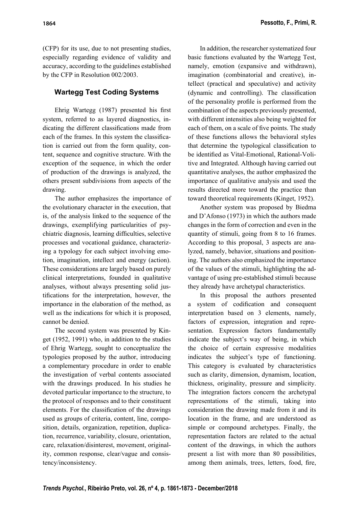(CFP) for its use, due to not presenting studies, especially regarding evidence of validity and accuracy, according to the guidelines established by the CFP in Resolution 002/2003.

## **Wartegg Test Coding Systems**

Ehrig Wartegg (1987) presented his first system, referred to as layered diagnostics, indicating the different classifications made from each of the frames. In this system the classification is carried out from the form quality, content, sequence and cognitive structure. With the exception of the sequence, in which the order of production of the drawings is analyzed, the others present subdivisions from aspects of the drawing.

The author emphasizes the importance of the evolutionary character in the execution, that is, of the analysis linked to the sequence of the drawings, exemplifying particularities of psychiatric diagnosis, learning difficulties, selective processes and vocational guidance, characterizing a typology for each subject involving emotion, imagination, intellect and energy (action). These considerations are largely based on purely clinical interpretations, founded in qualitative analyses, without always presenting solid justifications for the interpretation, however, the importance in the elaboration of the method, as well as the indications for which it is proposed, cannot be denied.

The second system was presented by Kinget (1952, 1991) who, in addition to the studies of Ehrig Wartegg, sought to conceptualize the typologies proposed by the author, introducing a complementary procedure in order to enable the investigation of verbal contents associated with the drawings produced. In his studies he devoted particular importance to the structure, to the protocol of responses and to their constituent elements. For the classification of the drawings used as groups of criteria, content, line, composition, details, organization, repetition, duplication, recurrence, variability, closure, orientation, care, relaxation/disinterest, movement, originality, common response, clear/vague and consistency/inconsistency.

In addition, the researcher systematized four basic functions evaluated by the Wartegg Test, namely, emotion (expansive and withdrawn), imagination (combinatorial and creative), intellect (practical and speculative) and activity (dynamic and controlling). The classification of the personality profile is performed from the combination of the aspects previously presented, with different intensities also being weighted for each of them, on a scale of five points. The study of these functions allows the behavioral styles that determine the typological classification to be identified as Vital-Emotional, Rational-Volitive and Integrated. Although having carried out quantitative analyses, the author emphasized the importance of qualitative analysis and used the results directed more toward the practice than toward theoretical requirements (Kinget, 1952).

Another system was proposed by Biedma and D'Afonso (1973) in which the authors made changes in the form of correction and even in the quantity of stimuli, going from 8 to 16 frames. According to this proposal, 3 aspects are analyzed, namely, behavior, situations and positioning. The authors also emphasized the importance of the values of the stimuli, highlighting the advantage of using pre-established stimuli because they already have archetypal characteristics.

In this proposal the authors presented a system of codification and consequent interpretation based on 3 elements, namely, factors of expression, integration and representation. Expression factors fundamentally indicate the subject's way of being, in which the choice of certain expressive modalities indicates the subject's type of functioning. This category is evaluated by characteristics such as clarity, dimension, dynamism, location, thickness, originality, pressure and simplicity. The integration factors concern the archetypal representations of the stimuli, taking into consideration the drawing made from it and its location in the frame, and are understood as simple or compound archetypes. Finally, the representation factors are related to the actual content of the drawings, in which the authors present a list with more than 80 possibilities, among them animals, trees, letters, food, fire,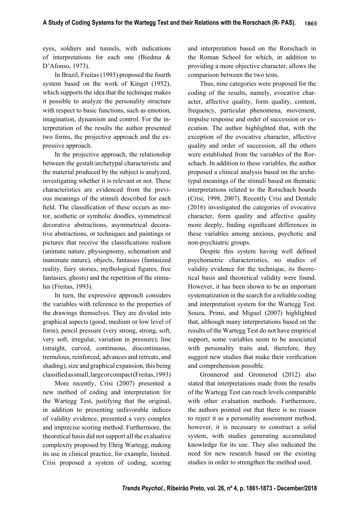eyes, soldiers and tunnels, with indications of interpretations for each one (Biedma & D'Afonso, 1973).

In Brazil, Freitas (1993) proposed the fourth system based on the work of Kinget (1952), which supports the idea that the technique makes it possible to analyze the personality structure with respect to basic functions, such as emotion, imagination, dynamism and control. For the interpretation of the results the author presented two forms, the projective approach and the expressive approach.

In the projective approach, the relationship between the gestalt/archetypal characteristic and the material produced by the subject is analyzed, investigating whether it is relevant or not. These characteristics are evidenced from the previous meanings of the stimuli described for each field. The classification of these occurs as motor, aesthetic or symbolic doodles, symmetrical decorative abstractions, asymmetrical decorative abstractions, or techniques and paintings or pictures that receive the classifications realism (animate nature, physiognomy, schematism and inanimate nature), objects, fantasies (fantasized reality, fairy stories, mythological figures, free fantasies, ghosts) and the repetition of the stimulus (Freitas, 1993).

In turn, the expressive approach considers the variables with reference to the properties of the drawings themselves. They are divided into graphical aspects (good, medium or low level of form), pencil pressure (very strong, strong, soft, very soft, irregular, variation in pressure), line (straight, curved, continuous, discontinuous, tremulous, reinforced, advances and retreats, and shading), size and graphical expansion, this being classified as small, large or compact (Freitas, 1993)

More recently, Crisi (2007) presented a new method of coding and interpretation for the Wartegg Test, justifying that the original, in addition to presenting unfavorable indices of validity evidence, presented a very complex and imprecise scoring method. Furthermore, the theoretical basis did not support all the evaluative complexity proposed by Ehrig Wartegg, making its use in clinical practice, for example, limited. Crisi proposed a system of coding, scoring

and interpretation based on the Rorschach in the Roman School for which, in addition to providing a more objective character, allows the comparison between the two tests.

Thus, nine categories were proposed for the coding of the results, namely, evocative character, affective quality, form quality, content, frequency, particular phenomena, movement, impulse response and order of succession or execution. The author highlighted that, with the exception of the evocative character, affective quality and order of succession, all the others were established from the variables of the Rorschach. In addition to these variables, the author proposed a clinical analysis based on the archetypal meanings of the stimuli based on thematic interpretations related to the Rorschach boards (Crisi, 1998, 2007). Recently Crisi and Dentale (2016) investigated the categories of evocative character, form quality and affective quality more deeply, finding significant differences in these variables among anxious, psychotic and non-psychiatric groups.

Despite this system having well defined psychometric characteristics, no studies of validity evidence for the technique, its theoretical basis and theoretical validity were found. However, it has been shown to be an important systematization in the search for a reliable coding and interpretation system for the Wartegg Test. Souza, Primi, and Miguel (2007) highlighted that, although many interpretations based on the results of the Wartegg Test do not have empirical support, some variables seem to be associated with personality traits and, therefore, they suggest new studies that make their verification and comprehension possible.

Gronnerod and Gronnerod (2012) also stated that interpretations made from the results of the Wartegg Test can reach levels comparable with other evaluation methods. Furthermore, the authors pointed out that there is no reason to reject it as a personality assessment method, however, it is necessary to construct a solid system, with studies generating accumulated knowledge for its use. They also indicated the need for new research based on the existing studies in order to strengthen the method used.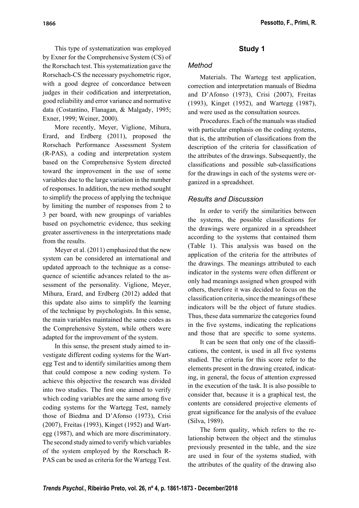This type of systematization was employed by Exner for the Comprehensive System (CS) of the Rorschach test. This systematization gave the Rorschach-CS the necessary psychometric rigor, with a good degree of concordance between judges in their codification and interpretation, good reliability and error variance and normative

data (Costantino, Flanagan, & Malgady, 1995; Exner, 1999; Weiner, 2000).

More recently, Meyer, Viglione, Mihura, Erard, and Erdberg (2011), proposed the Rorschach Performance Assessment System (R-PAS), a coding and interpretation system based on the Comprehensive System directed toward the improvement in the use of some variables due to the large variation in the number of responses. In addition, the new method sought to simplify the process of applying the technique by limiting the number of responses from 2 to 3 per board, with new groupings of variables based on psychometric evidence, thus seeking greater assertiveness in the interpretations made from the results.

Meyer et al. (2011) emphasized that the new system can be considered an international and updated approach to the technique as a consequence of scientific advances related to the assessment of the personality. Viglione, Meyer, Mihura, Erard, and Erdberg (2012) added that this update also aims to simplify the learning of the technique by psychologists. In this sense, the main variables maintained the same codes as the Comprehensive System, while others were adapted for the improvement of the system.

In this sense, the present study aimed to investigate different coding systems for the Wartegg Test and to identify similarities among them that could compose a new coding system. To achieve this objective the research was divided into two studies. The first one aimed to verify which coding variables are the same among five coding systems for the Wartegg Test, namely those of Biedma and D'Afonso (1973), Crisi (2007), Freitas (1993), Kinget (1952) and Wartegg (1987), and which are more discriminatory. The second study aimed to verify which variables of the system employed by the Rorschach R-PAS can be used as criteria for the Wartegg Test.

## **Study 1**

### *Method*

Materials. The Wartegg test application, correction and interpretation manuals of Biedma and D'Afonso (1973), Crisi (2007), Freitas (1993), Kinget (1952), and Wartegg (1987), and were used as the consultation sources.

Procedures. Each of the manuals was studied with particular emphasis on the coding systems. that is, the attribution of classifications from the description of the criteria for classification of the attributes of the drawings. Subsequently, the classifications and possible sub-classifications for the drawings in each of the systems were organized in a spreadsheet.

### *Results and Discussion*

In order to verify the similarities between the systems, the possible classifications for the drawings were organized in a spreadsheet according to the systems that contained them (Table 1). This analysis was based on the application of the criteria for the attributes of the drawings. The meanings attributed to each indicator in the systems were often different or only had meanings assigned when grouped with others, therefore it was decided to focus on the classification criteria, since the meanings of these indicators will be the object of future studies. Thus, these data summarize the categories found in the five systems, indicating the replications and those that are specific to some systems.

It can be seen that only one of the classifications, the content, is used in all five systems studied. The criteria for this score refer to the elements present in the drawing created, indicating, in general, the focus of attention expressed in the execution of the task. It is also possible to consider that, because it is a graphical test, the contents are considered projective elements of great significance for the analysis of the evaluee (Silva, 1989).

The form quality, which refers to the relationship between the object and the stimulus previously presented in the table, and the size are used in four of the systems studied, with the attributes of the quality of the drawing also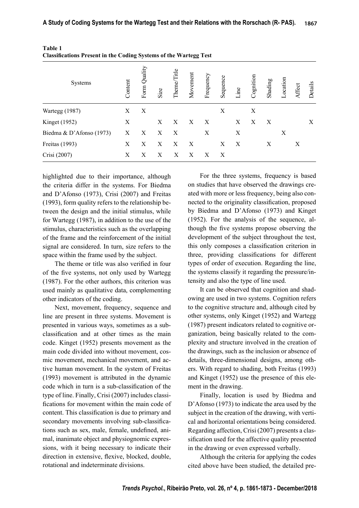| $\sim$ $\sim$ $\sim$ $\sim$ $\sim$ $\sim$ $\sim$<br>$\cdots$ $\cdots$ |         |              |      |                  |              |           |          |      |           |         |          |        |         |
|-----------------------------------------------------------------------|---------|--------------|------|------------------|--------------|-----------|----------|------|-----------|---------|----------|--------|---------|
| Systems                                                               | Content | Form Quality | Size | Theme/Title      | Movement     | Frequency | Sequence | Line | Cognition | Shading | Location | Affect | Details |
| Wartegg (1987)                                                        | X       | X            |      |                  |              |           | X        |      | X         |         |          |        |         |
| <b>Kinget</b> (1952)                                                  | X       |              | X    | X                | $\mathbf{X}$ | X         |          | X    | X         | X       |          |        | X       |
| Biedma & D'Afonso (1973)                                              | Χ       | X            | X    | $\boldsymbol{X}$ |              | X         |          | X    |           |         | X        |        |         |
| Freitas (1993)                                                        | Χ       | X            | X    | X                | X            |           | X        | X    |           | X       |          | Χ      |         |
| Crisi (2007)                                                          | Χ       | X            | Х    | Х                | X            | X         | X        |      |           |         |          |        |         |

| Table 1 |                                                                          |  |
|---------|--------------------------------------------------------------------------|--|
|         | <b>Classifications Present in the Coding Systems of the Wartegg Test</b> |  |

highlighted due to their importance, although the criteria differ in the systems. For Biedma and D'Afonso (1973), Crisi (2007) and Freitas (1993), form quality refers to the relationship between the design and the initial stimulus, while for Wartegg (1987), in addition to the use of the stimulus, characteristics such as the overlapping of the frame and the reinforcement of the initial signal are considered. In turn, size refers to the space within the frame used by the subject.

The theme or title was also verified in four of the five systems, not only used by Wartegg (1987). For the other authors, this criterion was used mainly as qualitative data, complementing other indicators of the coding.

Next, movement, frequency, sequence and line are present in three systems. Movement is presented in various ways, sometimes as a subclassification and at other times as the main code. Kinget (1952) presents movement as the main code divided into without movement, cosmic movement, mechanical movement, and active human movement. In the system of Freitas (1993) movement is attributed in the dynamic code which in turn is a sub-classification of the type of line. Finally, Crisi (2007) includes classifications for movement within the main code of content. This classification is due to primary and secondary movements involving sub-classifications such as sex, male, female, undefined, animal, inanimate object and physiognomic expressions, with it being necessary to indicate their direction in extensive, flexive, blocked, double, rotational and indeterminate divisions.

For the three systems, frequency is based on studies that have observed the drawings created with more or less frequency, being also connected to the originality classification, proposed by Biedma and D'Afonso (1973) and Kinget (1952). For the analysis of the sequence, although the five systems propose observing the development of the subject throughout the test, this only composes a classification criterion in three, providing classifications for different types of order of execution. Regarding the line, the systems classify it regarding the pressure/intensity and also the type of line used.

It can be observed that cognition and shadowing are used in two systems. Cognition refers to the cognitive structure and, although cited by other systems, only Kinget (1952) and Wartegg (1987) present indicators related to cognitive organization, being basically related to the complexity and structure involved in the creation of the drawings, such as the inclusion or absence of details, three-dimensional designs, among others. With regard to shading, both Freitas (1993) and Kinget (1952) use the presence of this element in the drawing.

Finally, location is used by Biedma and D'Afonso (1973) to indicate the area used by the subject in the creation of the drawing, with vertical and horizontal orientations being considered. Regarding affection, Crisi (2007) presents a classification used for the affective quality presented in the drawing or even expressed verbally.

Although the criteria for applying the codes cited above have been studied, the detailed pre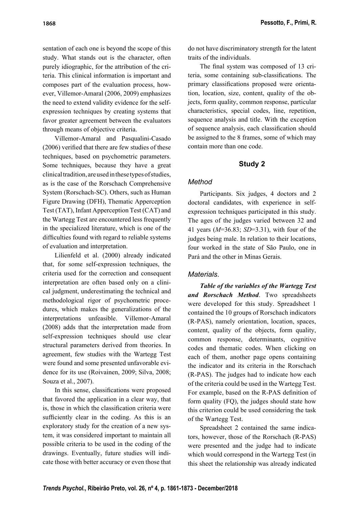sentation of each one is beyond the scope of this study. What stands out is the character, often purely idiographic, for the attribution of the criteria. This clinical information is important and composes part of the evaluation process, however, Villemor-Amaral (2006, 2009) emphasizes the need to extend validity evidence for the selfexpression techniques by creating systems that favor greater agreement between the evaluators through means of objective criteria.

Villemor-Amaral and Pasqualini-Casado  $(2006)$  verified that there are few studies of these techniques, based on psychometric parameters. Some techniques, because they have a great clinical tradition, are used in these types of studies, as is the case of the Rorschach Comprehensive System (Rorschach-SC). Others, such as Human Figure Drawing (DFH), Thematic Apperception Test (TAT), Infant Apperception Test (CAT) and the Wartegg Test are encountered less frequently in the specialized literature, which is one of the difficulties found with regard to reliable systems of evaluation and interpretation.

Lilienfeld et al. (2000) already indicated that, for some self-expression techniques, the criteria used for the correction and consequent interpretation are often based only on a clinical judgment, underestimating the technical and methodological rigor of psychometric procedures, which makes the generalizations of the interpretations unfeasible. Villemor-Amaral (2008) adds that the interpretation made from self-expression techniques should use clear structural parameters derived from theories. In agreement, few studies with the Wartegg Test were found and some presented unfavorable evidence for its use (Roivainen, 2009; Silva, 2008; Souza et al., 2007).

In this sense, classifications were proposed that favored the application in a clear way, that is, those in which the classification criteria were sufficiently clear in the coding. As this is an exploratory study for the creation of a new system, it was considered important to maintain all possible criteria to be used in the coding of the drawings. Eventually, future studies will indicate those with better accuracy or even those that do not have discriminatory strength for the latent traits of the individuals.

The final system was composed of 13 criteria, some containing sub-classifications. The primary classifications proposed were orientation, location, size, content, quality of the objects, form quality, common response, particular characteristics, special codes, line, repetition, sequence analysis and title. With the exception of sequence analysis, each classification should be assigned to the 8 frames, some of which may contain more than one code.

#### **Study 2**

#### *Method*

Participants. Six judges, 4 doctors and 2 doctoral candidates, with experience in selfexpression techniques participated in this study. The ages of the judges varied between 32 and 41 years (*M*=36.83; *SD*=3.31), with four of the judges being male. In relation to their locations, four worked in the state of São Paulo, one in Pará and the other in Minas Gerais.

#### *Materials*.

*Table of the variables of the Wartegg Test and Rorschach Method*. Two spreadsheets were developed for this study. Spreadsheet 1 contained the 10 groups of Rorschach indicators (R-PAS), namely orientation, location, spaces, content, quality of the objects, form quality, common response, determinants, cognitive codes and thematic codes. When clicking on each of them, another page opens containing the indicator and its criteria in the Rorschach (R-PAS). The judges had to indicate how each of the criteria could be used in the Wartegg Test. For example, based on the R-PAS definition of form quality (FQ), the judges should state how this criterion could be used considering the task of the Wartegg Test.

Spreadsheet 2 contained the same indicators, however, those of the Rorschach (R-PAS) were presented and the judge had to indicate which would correspond in the Wartegg Test (in this sheet the relationship was already indicated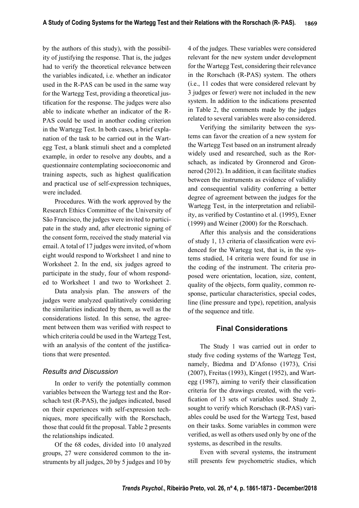by the authors of this study), with the possibility of justifying the response. That is, the judges had to verify the theoretical relevance between the variables indicated, i.e. whether an indicator used in the R-PAS can be used in the same way for the Wartegg Test, providing a theoretical justification for the response. The judges were also able to indicate whether an indicator of the R-PAS could be used in another coding criterion in the Wartegg Test. In both cases, a brief explanation of the task to be carried out in the Wartegg Test, a blank stimuli sheet and a completed example, in order to resolve any doubts, and a questionnaire contemplating socioeconomic and training aspects, such as highest qualification and practical use of self-expression techniques, were included.

Procedures. With the work approved by the Research Ethics Committee of the University of São Francisco, the judges were invited to participate in the study and, after electronic signing of the consent form, received the study material via email. A total of 17 judges were invited, of whom eight would respond to Worksheet 1 and nine to Worksheet 2. In the end, six judges agreed to participate in the study, four of whom responded to Worksheet 1 and two to Worksheet 2.

Data analysis plan. The answers of the judges were analyzed qualitatively considering the similarities indicated by them, as well as the considerations listed. In this sense, the agreement between them was verified with respect to which criteria could be used in the Wartegg Test, with an analysis of the content of the justifications that were presented.

#### *Results and Discussion*

In order to verify the potentially common variables between the Wartegg test and the Rorschach test (R-PAS), the judges indicated, based on their experiences with self-expression techniques, more specifically with the Rorschach, those that could fit the proposal. Table 2 presents the relationships indicated.

Of the 68 codes, divided into 10 analyzed groups, 27 were considered common to the instruments by all judges, 20 by 5 judges and 10 by

4 of the judges. These variables were considered relevant for the new system under development for the Wartegg Test, considering their relevance in the Rorschach (R-PAS) system. The others (i.e., 11 codes that were considered relevant by 3 judges or fewer) were not included in the new system. In addition to the indications presented in Table 2, the comments made by the judges related to several variables were also considered.

Verifying the similarity between the systems can favor the creation of a new system for the Wartegg Test based on an instrument already widely used and researched, such as the Rorschach, as indicated by Gronnerod and Gronnerod (2012). In addition, it can facilitate studies between the instruments as evidence of validity and consequential validity conferring a better degree of agreement between the judges for the Wartegg Test, in the interpretation and reliability, as verified by Costantino et al. (1995), Exner (1999) and Weiner (2000) for the Rorschach.

After this analysis and the considerations of study 1, 13 criteria of classification were evidenced for the Wartegg test, that is, in the systems studied, 14 criteria were found for use in the coding of the instrument. The criteria proposed were orientation, location, size, content, quality of the objects, form quality, common response, particular characteristics, special codes, line (line pressure and type), repetition, analysis of the sequence and title.

#### **Final Considerations**

The Study 1 was carried out in order to study five coding systems of the Wartegg Test, namely, Biedma and D'Afonso (1973), Crisi (2007), Freitas (1993), Kinget (1952), and Wartegg  $(1987)$ , aiming to verify their classification criteria for the drawings created, with the verification of 13 sets of variables used. Study 2, sought to verify which Rorschach (R-PAS) variables could be used for the Wartegg Test, based on their tasks. Some variables in common were verified, as well as others used only by one of the systems, as described in the results.

Even with several systems, the instrument still presents few psychometric studies, which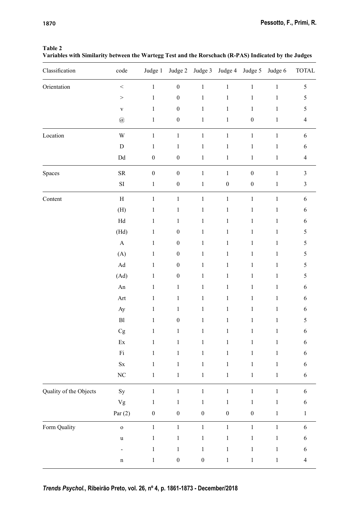#### **Table 2**

**Variables with Similarity between the Wartegg Test and the Rorschach (R-PAS) Indicated by the Judges**

| Classification         | code                       | Judge 1          | Judge 2          | Judge 3          |                  | Judge 4 Judge 5  | Judge 6      | <b>TOTAL</b>   |
|------------------------|----------------------------|------------------|------------------|------------------|------------------|------------------|--------------|----------------|
| Orientation            | $\,<$                      | $\,1\,$          | $\boldsymbol{0}$ | $\,1\,$          | $\,1\,$          | $\,1$            | $\,1$        | $\mathfrak s$  |
|                        | $\,>$                      | $\,1$            | $\boldsymbol{0}$ | $\,1\,$          | $\mathbf{1}$     | $\,1$            | $\,1$        | 5              |
|                        | $\mathbf V$                | $\,1$            | $\boldsymbol{0}$ | $\,1\,$          | $\mathbf{1}$     | $\,1$            | $\,1$        | 5              |
|                        | $^\text{\textregistered}$  | $\mathbf{1}$     | $\boldsymbol{0}$ | $\,1\,$          | $\mathbf{1}$     | $\boldsymbol{0}$ | $\mathbf{1}$ | $\overline{4}$ |
| Location               | $\mathbf W$                | $\,1\,$          | $\,1$            | $\,1\,$          | $\,1\,$          | $\,1$            | $\,1$        | $\sqrt{6}$     |
|                        | ${\rm D}$                  | $\mathbf{1}$     | $\,1$            | $\,1\,$          | $\,1\,$          | $\,1$            | $\,1$        | $\sqrt{6}$     |
|                        | $\mathop{\rm Dd}\nolimits$ | $\boldsymbol{0}$ | $\boldsymbol{0}$ | $\,1\,$          | $\,1\,$          | $\,1$            | $\,1$        | $\overline{4}$ |
| Spaces                 | ${\rm SR}$                 | $\boldsymbol{0}$ | $\boldsymbol{0}$ | $\,1\,$          | $\,1\,$          | $\boldsymbol{0}$ | $\,1$        | $\mathfrak{Z}$ |
|                        | ${\rm SI}$                 | $\,1\,$          | $\boldsymbol{0}$ | $\,1\,$          | $\boldsymbol{0}$ | $\boldsymbol{0}$ | $\,1$        | $\mathfrak z$  |
| Content                | $\boldsymbol{\mathrm{H}}$  | $\,1\,$          | $\,1$            | $\,1\,$          | $\,1\,$          | $\,1$            | $\,1$        | $\sqrt{6}$     |
|                        | (H)                        | $\,1\,$          | $\,1\,$          | $\,1\,$          | $\,1\,$          | $\,1$            | $\,1$        | $\sqrt{6}$     |
|                        | $\rm{Hd}$                  | $\,1$            | $\mathbf{1}$     | $\,1\,$          | $\mathbf{1}$     | $\,1$            | $\,1$        | $\sqrt{6}$     |
|                        | (Hd)                       | $\mathbf{1}$     | $\boldsymbol{0}$ | $\,1\,$          | $\,1$            | $\,1$            | $\,1$        | $\sqrt{5}$     |
|                        | $\mathbf A$                | $\,1\,$          | $\boldsymbol{0}$ | $\,1\,$          | $\mathbf{1}$     | $\,1$            | $\mathbf{1}$ | 5              |
|                        | (A)                        | $\,1\,$          | $\boldsymbol{0}$ | $\,1\,$          | $\,1\,$          | $\,1$            | $\,1$        | $\sqrt{5}$     |
|                        | $\operatorname{Ad}$        | $\mathbf{1}$     | $\boldsymbol{0}$ | $\,1\,$          | $\mathbf{1}$     | $\,1$            | $\mathbf{1}$ | 5              |
|                        | (Ad)                       | $\mathbf{1}$     | $\boldsymbol{0}$ | $\,1\,$          | $\,1$            | $\,1$            | $\,1$        | 5              |
|                        | ${\rm An}$                 | $\,1\,$          | $\,1\,$          | $\,1\,$          | $\,1$            | $\,1$            | $\mathbf{1}$ | $\sqrt{6}$     |
|                        | Art                        | $\mathbf{1}$     | $\,1$            | $\,1\,$          | $\,1$            | $\,1$            | $\mathbf{1}$ | $\sqrt{6}$     |
|                        | Ay                         | $\,1\,$          | $\mathbf{1}$     | $\,1\,$          | $\mathbf{1}$     | $\mathbf{1}$     | $\mathbf{1}$ | $\sqrt{6}$     |
|                        | ${\rm Bl}$                 | $\mathbf{1}$     | $\boldsymbol{0}$ | $\,1\,$          | $\,1$            | $\,1$            | $\mathbf{1}$ | $\sqrt{5}$     |
|                        | $\rm{Cg}$                  | $\,1$            | $\mathbf{1}$     | $\mathbf{1}$     | $\,1$            | $\,1$            | $\mathbf{1}$ | $\sqrt{6}$     |
|                        | $\mathop{\textrm{Ex}}$     | $\,1$            | $\mathbf 1$      | $\,1\,$          | $\,1$            | $\,1$            | $\mathbf{1}$ | 6              |
|                        | $\rm{Fi}$                  | $\,1$            | $\,1$            | $\,1\,$          | $\mathbf 1$      | $\,1$            | $\mathbf{1}$ | 6              |
|                        | $\mathbf{S}\mathbf{x}$     | $\mathbf{1}$     | $\mathbf{1}$     | $\mathbf{1}$     | $\,1$            | $\,1$            | $\mathbf{1}$ | 6              |
|                        | $\rm NC$                   | $\,1\,$          | $\mathbf{1}$     | $\,1\,$          | $\,1$            | $\,1$            | $\mathbf{1}$ | $\sqrt{6}$     |
| Quality of the Objects | $\mathrm{Sy}$              | $\,1\,$          | $\mathbf{1}$     | $\,1\,$          | $\,1$            | $\,1$            | $\,1$        | $\sqrt{6}$     |
|                        | Vg                         | $\mathbf{1}$     | $\,1$            | $\,1\,$          | $\,1$            | $\mathbf{1}$     | $\mathbf{1}$ | 6              |
|                        | Par $(2)$                  | $\boldsymbol{0}$ | $\boldsymbol{0}$ | $\boldsymbol{0}$ | $\boldsymbol{0}$ | $\boldsymbol{0}$ | $\mathbf{1}$ | $\mathbf{1}$   |
| Form Quality           | $\mathbf 0$                | $\mathbf{1}$     | $\mathbf{1}$     | $\,1$            | $\mathbf 1$      | $\,1$            | $\,1$        | $\sqrt{6}$     |
|                        | $\mathbf u$                | $\,1$            | $\,1\,$          | $\,1\,$          | $\,1\,$          | $\,1$            | $\,1$        | $\sqrt{6}$     |
|                        | $\blacksquare$             | $\mathbf{1}$     | $\mathbf{1}$     | $\,1\,$          | $\mathbf{1}$     | $\,1$            | $\mathbf{1}$ | 6              |
|                        | $\mathbf n$                | $\mathbf{1}$     | $\boldsymbol{0}$ | $\boldsymbol{0}$ | $\mathbf 1$      | $\,1$            | $\mathbf{1}$ | $\overline{4}$ |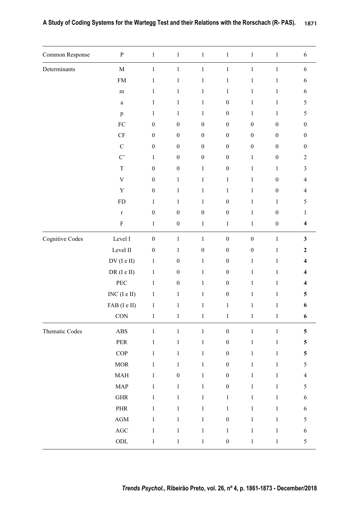| Common Response | $\, {\bf p}$                | $\,1$            | $\,1\,$          | $\,1$            | $\,1$            | $\,1\,$          | $\,1$            | $\sqrt{6}$              |
|-----------------|-----------------------------|------------------|------------------|------------------|------------------|------------------|------------------|-------------------------|
| Determinants    | $\mathbf M$                 | $\,1$            | $\,1\,$          | $\,1$            | $\,1$            | $\mathbf{1}$     | $\,1$            | $\sqrt{6}$              |
|                 | ${\rm FM}$                  | $\,1$            | $\,1$            | $\,1$            | $\mathbf{1}$     | $\mathbf{1}$     | $\mathbf{1}$     | $\sqrt{6}$              |
|                 | ${\bf m}$                   | $\,1$            | $\mathbf{1}$     | $\,1$            | $\mathbf{1}$     | $\mathbf{1}$     | $\mathbf{1}$     | $\sqrt{6}$              |
|                 | $\mathbf{a}$                | $\mathbf{1}$     | $\,1$            | $\,1$            | $\boldsymbol{0}$ | $\mathbf{1}$     | $\mathbf{1}$     | 5                       |
|                 | $\, {\bf p}$                | $\mathbf{1}$     | $\mathbf{1}$     | $\mathbf{1}$     | $\boldsymbol{0}$ | $\mathbf{1}$     | $\mathbf{1}$     | $\mathfrak{S}$          |
|                 | ${\rm FC}$                  | $\boldsymbol{0}$ | $\boldsymbol{0}$ | $\boldsymbol{0}$ | $\boldsymbol{0}$ | $\boldsymbol{0}$ | $\boldsymbol{0}$ | $\boldsymbol{0}$        |
|                 | CF                          | $\boldsymbol{0}$ | $\boldsymbol{0}$ | $\boldsymbol{0}$ | $\boldsymbol{0}$ | $\boldsymbol{0}$ | $\boldsymbol{0}$ | $\boldsymbol{0}$        |
|                 | $\mathsf C$                 | $\boldsymbol{0}$ | $\boldsymbol{0}$ | $\boldsymbol{0}$ | $\boldsymbol{0}$ | $\boldsymbol{0}$ | $\boldsymbol{0}$ | $\boldsymbol{0}$        |
|                 | $C^{\prime}$                | $\,1$            | $\boldsymbol{0}$ | $\boldsymbol{0}$ | $\boldsymbol{0}$ | $\mathbf{1}$     | $\boldsymbol{0}$ | $\overline{2}$          |
|                 | $\mathbf T$                 | $\boldsymbol{0}$ | $\boldsymbol{0}$ | $\,1$            | $\boldsymbol{0}$ | $\mathbf{1}$     | $\mathbf{1}$     | $\mathfrak{Z}$          |
|                 | $\ensuremath{\mathbf{V}}$   | $\boldsymbol{0}$ | $\mathbf{1}$     | $\mathbf{1}$     | $\mathbf{1}$     | $\mathbf{1}$     | $\boldsymbol{0}$ | $\overline{4}$          |
|                 | $\mathbf Y$                 | $\boldsymbol{0}$ | $\mathbf{1}$     | $\,1$            | $\,1$            | $\mathbf{1}$     | $\boldsymbol{0}$ | $\overline{4}$          |
|                 | ${\rm FD}$                  | $\mathbf{1}$     | $\mathbf{1}$     | $\mathbf{1}$     | $\boldsymbol{0}$ | $\mathbf{1}$     | $\mathbf{1}$     | 5                       |
|                 | $\mathbf r$                 | $\boldsymbol{0}$ | $\boldsymbol{0}$ | $\boldsymbol{0}$ | $\boldsymbol{0}$ | $\mathbf{1}$     | $\boldsymbol{0}$ | $\mathbf{1}$            |
|                 | ${\bf F}$                   | $\,1$            | $\boldsymbol{0}$ | $\,1$            | $\,1$            | $\mathbf{1}$     | $\boldsymbol{0}$ | $\overline{\mathbf{4}}$ |
| Cognitive Codes | Level $\rm I$               | $\boldsymbol{0}$ | $\mathbf{1}$     | $\,1$            | $\boldsymbol{0}$ | $\boldsymbol{0}$ | $\,1\,$          | $\mathbf{3}$            |
|                 | Level $\rm II$              | $\boldsymbol{0}$ | $\mathbf{1}$     | $\boldsymbol{0}$ | $\boldsymbol{0}$ | $\boldsymbol{0}$ | $\,1\,$          | $\boldsymbol{2}$        |
|                 | $DV$ (I e II)               | $\,1$            | $\boldsymbol{0}$ | $\,1$            | $\boldsymbol{0}$ | $\mathbf{1}$     | $\mathbf{1}$     | $\overline{\mathbf{4}}$ |
|                 | DR (I e II)                 | $\,1$            | $\boldsymbol{0}$ | $\mathbf{1}$     | $\boldsymbol{0}$ | $\mathbf{1}$     | $\mathbf{1}$     | $\boldsymbol{4}$        |
|                 | PEC                         | $\,1$            | $\boldsymbol{0}$ | $\,1$            | $\boldsymbol{0}$ | $\mathbf{1}$     | $\mathbf{1}$     | $\overline{\mathbf{4}}$ |
|                 | $INC (I e II)$              | $\,1$            | $\mathbf{1}$     | $\mathbf{1}$     | $\boldsymbol{0}$ | $\mathbf{1}$     | $\mathbf{1}$     | $\overline{\mathbf{5}}$ |
|                 | FAB (I e II)                | $\,1$            | $\,1$            | $\,1$            | $\,1$            | $\mathbf{1}$     | $\mathbf{1}$     | 6                       |
|                 | $\rm CON$                   | $\,1$            | $\mathbf{1}$     | $\mathbf{1}$     | $\mathbf{1}$     | $\mathbf{1}$     | $\mathbf{1}$     | 6                       |
| Thematic Codes  | $\mathbf{ABS}$              | $\,1$            | $\,1$            | $\,1$            | $\boldsymbol{0}$ | $\,1$            | $\,1$            | $\overline{\mathbf{5}}$ |
|                 | PER                         | $\,1\,$          | $\mathbf{1}$     | $\,1$            | $\boldsymbol{0}$ | $\mathbf{1}$     | $\,1\,$          | $\overline{\mathbf{5}}$ |
|                 | $\mathop{\mathrm{COP}}$     | $\mathbf{1}$     | $\mathbf{1}$     | $\mathbf{1}$     | $\boldsymbol{0}$ | $\mathbf{1}$     | $\mathbf{1}$     | $\overline{\mathbf{5}}$ |
|                 | $\operatorname{MOR}$        | $\mathbf{1}$     | $\,1$            | $\mathbf{1}$     | $\boldsymbol{0}$ | $\mathbf{1}$     | $\mathbf{1}$     | $\mathfrak s$           |
|                 | $\ensuremath{\mathsf{MAH}}$ | $\,1$            | $\boldsymbol{0}$ | $\mathbf{1}$     | $\boldsymbol{0}$ | $\mathbf{1}$     | $\mathbf{1}$     | $\overline{4}$          |
|                 | <b>MAP</b>                  | $\mathbf{1}$     | $\mathbf{1}$     | $\,1$            | $\boldsymbol{0}$ | $\mathbf{1}$     | $\mathbf{1}$     | $\sqrt{5}$              |
|                 | $\mbox{GHR}$                | $\,1$            | $\mathbf{1}$     | $\,1$            | $\mathbf{1}$     | $\mathbf{1}$     | $\mathbf{1}$     | $\sqrt{6}$              |
|                 | $\ensuremath{\mathsf{PHR}}$ | $\mathbf{1}$     | $\mathbf{1}$     | $\,1$            | $\mathbf{1}$     | $\mathbf{1}$     | $\mathbf{1}$     | $\sqrt{6}$              |
|                 | $\rm{AGM}$                  | $\,1\,$          | $\mathbf{1}$     | $\mathbf{1}$     | $\boldsymbol{0}$ | $\mathbf{1}$     | $\,1\,$          | $\sqrt{5}$              |
|                 | $\rm{AGC}$                  | $\,1$            | $\mathbf{1}$     | $\,1$            | $\,1$            | $\mathbf{1}$     | $\mathbf{1}$     | $\sqrt{6}$              |
|                 | $\rm ODL$                   | $\,1$            | $\mathbf{1}$     | $\,1$            | $\boldsymbol{0}$ | $\mathbf{1}$     | $\mathbf 1$      | $\mathfrak s$           |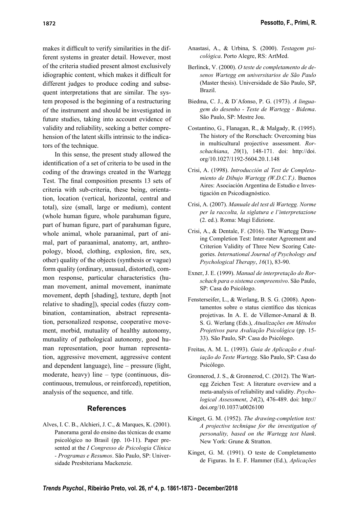makes it difficult to verify similarities in the different systems in greater detail. However, most of the criteria studied present almost exclusively idiographic content, which makes it difficult for different judges to produce coding and subsequent interpretations that are similar. The system proposed is the beginning of a restructuring of the instrument and should be investigated in future studies, taking into account evidence of validity and reliability, seeking a better comprehension of the latent skills intrinsic to the indicators of the technique.

In this sense, the present study allowed the identification of a set of criteria to be used in the coding of the drawings created in the Wartegg Test. The final composition presents 13 sets of criteria with sub-criteria, these being, orientation, location (vertical, horizontal, central and total), size (small, large or medium), content (whole human figure, whole parahuman figure, part of human figure, part of parahuman figure, whole animal, whole paraanimal, part of animal, part of paraanimal, anatomy, art, anthropology, blood, clothing, explosion, fire, sex, other) quality of the objects (synthesis or vague) form quality (ordinary, unusual, distorted), common response, particular characteristics (human movement, animal movement, inanimate movement, depth [shading], texture, depth [not relative to shading]), special codes (fuzzy combination, contamination, abstract representation, personalized response, cooperative movement, morbid, mutuality of healthy autonomy, mutuality of pathological autonomy, good human representation, poor human representation, aggressive movement, aggressive content and dependent language), line – pressure (light, moderate, heavy) line – type (continuous, discontinuous, tremulous, or reinforced), repetition, analysis of the sequence, and title.

#### **References**

Alves, I. C. B., Alchieri, J. C., & Marques, K. (2001). Panorama geral do ensino das técnicas de exame psicológico no Brasil (pp. 10-11). Paper presented at the *I Congresso de Psicologia Clínica - Programas e Resumos*. São Paulo, SP: Universidade Presbiteriana Mackenzie.

- Anastasi, A., & Urbina, S. (2000). *Testagem psicológica*. Porto Alegre, RS: ArtMed.
- Berlinck, V. (2000). *O teste de completamento de desenos Wartegg em universitarios de São Paulo* (Master thesis). Universidade de São Paulo, SP, Brazil.
- Biedma, C. J., & D´Afonso, P. G. (1973). *A linguagem do desenho - Teste de Wartegg - Bidema*. São Paulo, SP: Mestre Jou.
- Costantino, G., Flanagan, R., & Malgady, R. (1995). The history of the Rorschach: Overcoming bias in multicultural projective assessment. *Rorschachiana*, *20*(1), 148-171. doi: http://doi. org/10.1027/1192-5604.20.1.148
- Crisi, A. (1998). *Introducción al Test de Completamiento de Dibujo Wartegg (W.D.C.T.)*. Buenos Aires: Asociación Argentina de Estudio e Investigación en Psicodiagnóstico.
- Crisi, A. (2007). *Manuale del test di Wartegg. Norme per la raccolta, la siglatura e l'interpretazione* (2. ed.). Roma: Magi Edizione.
- Crisi, A., & Dentale, F. (2016). The Wartegg Drawing Completion Test: Inter-rater Agreement and Criterion Validity of Three New Scoring Categories. *International Journal of Psychology and Psychological Therapy*, *16*(1), 83-90.
- Exner, J. E. (1999). *Manual de interpretação do Rorschach para o sistema compreensivo*. São Paulo, SP: Casa do Psicólogo.
- Fensterseifer, L., & Werlang, B. S. G. (2008). Apontamentos sobre o status científico das técnicas projetivas. In A. E. de Villemor-Amaral & B. S. G. Werlang (Eds.), *Atualizações em Métodos Projetivos para Avaliação Psicológica* (pp. 15- 33). São Paulo, SP: Casa do Psicólogo.
- Freitas, A. M. L. (1993). *Guia de Aplicação e Avaliação do Teste Wartegg*. São Paulo, SP: Casa do Psicólogo.
- Gronnerod, J. S., & Gronnerod, C. (2012). The Wartegg Zeichen Test: A literature overview and a meta-analysis of reliability and validity. *Psychological Assessment*, *24*(2), 476-489. doi: http:// doi.org/10.1037/a0026100
- Kinget, G. M. (1952). *The drawing-completion test: A projective technique for the investigation of personality, based on the Wartegg test blank*. New York: Grune & Stratton.
- Kinget, G. M. (1991). O teste de Completamento de Figuras. In E. F. Hammer (Ed.), *Aplicações*